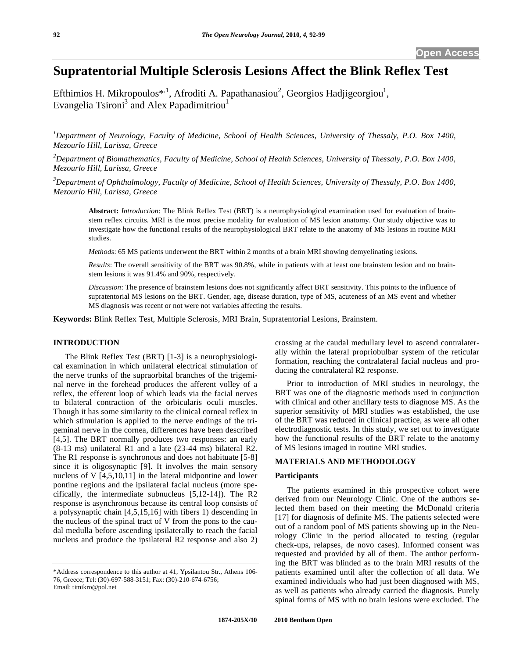# **Supratentorial Multiple Sclerosis Lesions Affect the Blink Reflex Test**

Efthimios H. Mikropoulos<sup>\*,1</sup>, Afroditi A. Papathanasiou<sup>2</sup>, Georgios Hadjigeorgiou<sup>1</sup>, Evangelia Tsironi<sup>3</sup> and Alex Papadimitriou<sup>1</sup>

<sup>1</sup>Department of Neurology, Faculty of Medicine, School of Health Sciences, University of Thessaly, P.O. Box 1400, *Mezourlo Hill, Larissa, Greece* 

*2 Department of Biomathematics, Faculty of Medicine, School of Health Sciences, University of Thessaly, P.O. Box 1400, Mezourlo Hill, Larissa, Greece* 

*3 Department of Ophthalmology, Faculty of Medicine, School of Health Sciences, University of Thessaly, P.O. Box 1400, Mezourlo Hill, Larissa, Greece* 

**Abstract:** *Introduction*: The Blink Reflex Test (BRT) is a neurophysiological examination used for evaluation of brainstem reflex circuits. MRI is the most precise modality for evaluation of MS lesion anatomy. Our study objective was to investigate how the functional results of the neurophysiological BRT relate to the anatomy of MS lesions in routine MRI studies.

*Methods*: 65 MS patients underwent the BRT within 2 months of a brain MRI showing demyelinating lesions.

*Results*: The overall sensitivity of the BRT was 90.8%, while in patients with at least one brainstem lesion and no brainstem lesions it was 91.4% and 90%, respectively.

*Discussion*: The presence of brainstem lesions does not significantly affect BRT sensitivity. This points to the influence of supratentorial MS lesions on the BRT. Gender, age, disease duration, type of MS, acuteness of an MS event and whether MS diagnosis was recent or not were not variables affecting the results.

**Keywords:** Blink Reflex Test, Multiple Sclerosis, MRI Brain, Supratentorial Lesions, Brainstem.

# **INTRODUCTION**

 The Blink Reflex Test (BRT) [1-3] is a neurophysiological examination in which unilateral electrical stimulation of the nerve trunks of the supraorbital branches of the trigeminal nerve in the forehead produces the afferent volley of a reflex, the efferent loop of which leads via the facial nerves to bilateral contraction of the orbicularis oculi muscles. Though it has some similarity to the clinical corneal reflex in which stimulation is applied to the nerve endings of the trigeminal nerve in the cornea, differences have been described [4,5]. The BRT normally produces two responses: an early (8-13 ms) unilateral R1 and a late (23-44 ms) bilateral R2. The R1 response is synchronous and does not habituate [5-8] since it is oligosynaptic [9]. It involves the main sensory nucleus of V [4,5,10,11] in the lateral midpontine and lower pontine regions and the ipsilateral facial nucleus (more specifically, the intermediate subnucleus [5,12-14]). The R2 response is asynchronous because its central loop consists of a polysynaptic chain [4,5,15,16] with fibers 1) descending in the nucleus of the spinal tract of V from the pons to the caudal medulla before ascending ipsilaterally to reach the facial nucleus and produce the ipsilateral R2 response and also 2)

crossing at the caudal medullary level to ascend contralaterally within the lateral propriobulbar system of the reticular formation, reaching the contralateral facial nucleus and producing the contralateral R2 response.

 Prior to introduction of MRI studies in neurology, the BRT was one of the diagnostic methods used in conjunction with clinical and other ancillary tests to diagnose MS. As the superior sensitivity of MRI studies was established, the use of the BRT was reduced in clinical practice, as were all other electrodiagnostic tests. In this study, we set out to investigate how the functional results of the BRT relate to the anatomy of MS lesions imaged in routine MRI studies.

# **MATERIALS AND METHODOLOGY**

# **Participants**

 The patients examined in this prospective cohort were derived from our Neurology Clinic. One of the authors selected them based on their meeting the McDonald criteria [17] for diagnosis of definite MS. The patients selected were out of a random pool of MS patients showing up in the Neurology Clinic in the period allocated to testing (regular check-ups, relapses, de novo cases). Informed consent was requested and provided by all of them. The author performing the BRT was blinded as to the brain MRI results of the patients examined until after the collection of all data. We examined individuals who had just been diagnosed with MS, as well as patients who already carried the diagnosis. Purely spinal forms of MS with no brain lesions were excluded. The

<sup>\*</sup>Address correspondence to this author at 41, Ypsilantou Str., Athens 106- 76, Greece; Tel: (30)-697-588-3151; Fax: (30)-210-674-6756; Email: timikro@pol.net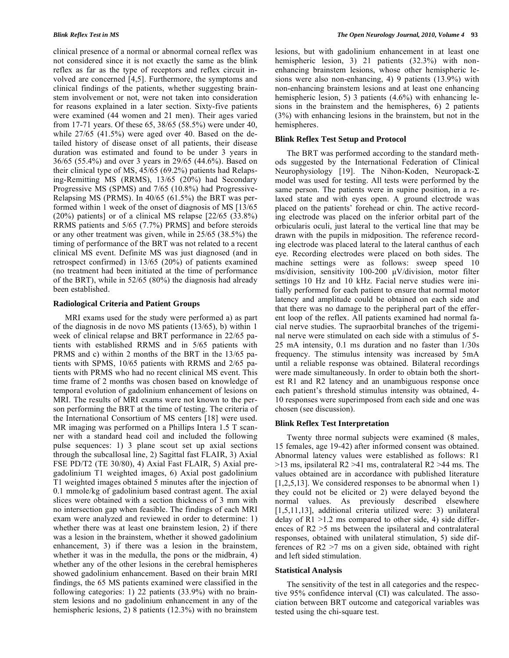clinical presence of a normal or abnormal corneal reflex was not considered since it is not exactly the same as the blink reflex as far as the type of receptors and reflex circuit involved are concerned [4,5]. Furthermore, the symptoms and clinical findings of the patients, whether suggesting brainstem involvement or not, were not taken into consideration for reasons explained in a later section. Sixty-five patients were examined (44 women and 21 men). Their ages varied from 17-71 years. Of these 65, 38/65 (58.5%) were under 40, while 27/65 (41.5%) were aged over 40. Based on the detailed history of disease onset of all patients, their disease duration was estimated and found to be under 3 years in 36/65 (55.4%) and over 3 years in 29/65 (44.6%). Based on their clinical type of MS, 45/65 (69.2%) patients had Relapsing-Remitting MS (RRMS), 13/65 (20%) had Secondary Progressive MS (SPMS) and 7/65 (10.8%) had Progressive-Relapsing MS (PRMS). In 40/65 (61.5%) the BRT was performed within 1 week of the onset of diagnosis of MS [13/65 (20%) patients] or of a clinical MS relapse [22/65 (33.8%) RRMS patients and 5/65 (7.7%) PRMS] and before steroids or any other treatment was given, while in 25/65 (38.5%) the timing of performance of the BRT was not related to a recent clinical MS event. Definite MS was just diagnosed (and in retrospect confirmed) in 13/65 (20%) of patients examined (no treatment had been initiated at the time of performance of the BRT), while in 52/65 (80%) the diagnosis had already been established.

#### **Radiological Criteria and Patient Groups**

 MRI exams used for the study were performed a) as part of the diagnosis in de novo MS patients (13/65), b) within 1 week of clinical relapse and BRT performance in 22/65 patients with established RRMS and in 5/65 patients with PRMS and c) within 2 months of the BRT in the 13/65 patients with SPMS, 10/65 patients with RRMS and 2/65 patients with PRMS who had no recent clinical MS event. This time frame of 2 months was chosen based on knowledge of temporal evolution of gadolinium enhancement of lesions on MRI. The results of MRI exams were not known to the person performing the BRT at the time of testing. The criteria of the International Consortium of MS centers [18] were used. MR imaging was performed on a Phillips Intera 1.5 T scanner with a standard head coil and included the following pulse sequences: 1) 3 plane scout set up axial sections through the subcallosal line, 2) Sagittal fast FLAIR, 3) Axial FSE PD/T2 (TE 30/80), 4) Axial Fast FLAIR, 5) Axial pregadolinium T1 weighted images, 6) Axial post gadolinium T1 weighted images obtained 5 minutes after the injection of 0.1 mmole/kg of gadolinium based contrast agent. The axial slices were obtained with a section thickness of 3 mm with no intersection gap when feasible. The findings of each MRI exam were analyzed and reviewed in order to determine: 1) whether there was at least one brainstem lesion, 2) if there was a lesion in the brainstem, whether it showed gadolinium enhancement, 3) if there was a lesion in the brainstem, whether it was in the medulla, the pons or the midbrain, 4) whether any of the other lesions in the cerebral hemispheres showed gadolinium enhancement. Based on their brain MRI findings, the 65 MS patients examined were classified in the following categories: 1) 22 patients (33.9%) with no brainstem lesions and no gadolinium enhancement in any of the hemispheric lesions, 2) 8 patients (12.3%) with no brainstem

lesions, but with gadolinium enhancement in at least one hemispheric lesion, 3) 21 patients (32.3%) with nonenhancing brainstem lesions, whose other hemispheric lesions were also non-enhancing, 4) 9 patients (13.9%) with non-enhancing brainstem lesions and at least one enhancing hemispheric lesion, 5) 3 patients (4.6%) with enhancing lesions in the brainstem and the hemispheres, 6) 2 patients (3%) with enhancing lesions in the brainstem, but not in the hemispheres.

#### **Blink Reflex Test Setup and Protocol**

 The BRT was performed according to the standard methods suggested by the International Federation of Clinical Neurophysiology [19]. The Nihon-Koden, Neuropack- $\Sigma$ model was used for testing. All tests were performed by the same person. The patients were in supine position, in a relaxed state and with eyes open. A ground electrode was placed on the patients' forehead or chin. The active recording electrode was placed on the inferior orbital part of the orbicularis oculi, just lateral to the vertical line that may be drawn with the pupils in midposition. The reference recording electrode was placed lateral to the lateral canthus of each eye. Recording electrodes were placed on both sides. The machine settings were as follows: sweep speed 10 ms/division, sensitivity 100-200 μV/division, motor filter settings 10 Hz and 10 kHz. Facial nerve studies were initially performed for each patient to ensure that normal motor latency and amplitude could be obtained on each side and that there was no damage to the peripheral part of the efferent loop of the reflex. All patients examined had normal facial nerve studies. The supraorbital branches of the trigeminal nerve were stimulated on each side with a stimulus of 5- 25 mA intensity, 0.1 ms duration and no faster than 1/30s frequency. The stimulus intensity was increased by 5mA until a reliable response was obtained. Bilateral recordings were made simultaneously. In order to obtain both the shortest R1 and R2 latency and an unambiguous response once each patient's threshold stimulus intensity was obtained, 4- 10 responses were superimposed from each side and one was chosen (see discussion).

### **Blink Reflex Test Interpretation**

 Twenty three normal subjects were examined (8 males, 15 females, age 19-42) after informed consent was obtained. Abnormal latency values were established as follows: R1 >13 ms, ipsilateral R2 >41 ms, contralateral R2 >44 ms. The values obtained are in accordance with published literature [1,2,5,13]. We considered responses to be abnormal when 1) they could not be elicited or 2) were delayed beyond the normal values. As previously described elsewhere [1,5,11,13], additional criteria utilized were: 3) unilateral delay of  $R1 > 1.2$  ms compared to other side, 4) side differences of R2 >5 ms between the ipsilateral and contralateral responses, obtained with unilateral stimulation, 5) side differences of R2 >7 ms on a given side, obtained with right and left sided stimulation.

### **Statistical Analysis**

 The sensitivity of the test in all categories and the respective 95% confidence interval (CI) was calculated. The association between BRT outcome and categorical variables was tested using the chi-square test.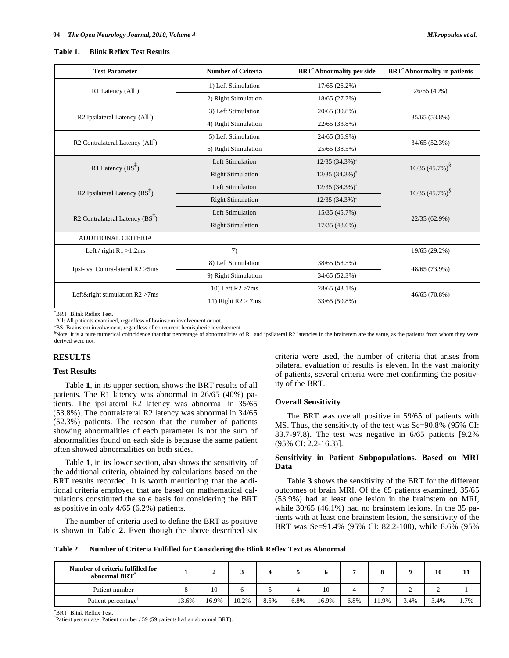#### **Table 1. Blink Reflex Test Results**

| <b>Test Parameter</b>                         | <b>Number of Criteria</b> | <b>BRT</b> *Abnormality per side | <b>BRT</b> <sup>*</sup> Abnormality in patients |
|-----------------------------------------------|---------------------------|----------------------------------|-------------------------------------------------|
| R1 Latency $(All^{\dagger})$                  | 1) Left Stimulation       | $17/65(26.2\%)$                  | 26/65 (40%)                                     |
|                                               | 2) Right Stimulation      | 18/65 (27.7%)                    |                                                 |
| R2 Ipsilateral Latency $(AII^{\dagger})$      | 3) Left Stimulation       | $20/65(30.8\%)$                  | 35/65 (53.8%)                                   |
|                                               | 4) Right Stimulation      | 22/65 (33.8%)                    |                                                 |
| R2 Contralateral Latency $(AII^{\dagger})$    | 5) Left Stimulation       | 24/65 (36.9%)                    | 34/65 (52.3%)                                   |
|                                               | 6) Right Stimulation      | 25/65 (38.5%)                    |                                                 |
| R1 Latency $(BS^{\ddagger})$                  | Left Stimulation          | $12/35$ $(34.3\%)^{\ddagger}$    | $16/35$ (45.7%) <sup>§</sup>                    |
|                                               | <b>Right Stimulation</b>  | $12/35$ $(34.3\%)^{\ddagger}$    |                                                 |
|                                               | Left Stimulation          | $12/35$ $(34.3\%)^{\ddagger}$    | $16/35$ $(45.7\%)^8$                            |
| R2 Ipsilateral Latency $(BS^{\mathfrak{F}})$  | <b>Right Stimulation</b>  | $12/35$ $(34.3\%)^{\ddagger}$    |                                                 |
| R2 Contralateral Latency $(BS^{\frac{1}{2}})$ | <b>Left Stimulation</b>   | 15/35 (45.7%)                    | 22/35 (62.9%)                                   |
|                                               | <b>Right Stimulation</b>  | 17/35 (48.6%)                    |                                                 |
| ADDITIONAL CRITERIA                           |                           |                                  |                                                 |
| Left / right $R1 > 1.2$ ms                    | 7)                        |                                  | 19/65 (29.2%)                                   |
|                                               | 8) Left Stimulation       | 38/65 (58.5%)                    |                                                 |
| Ipsi- vs. Contra-lateral R2 > 5ms             | 9) Right Stimulation      | 34/65 (52.3%)                    | 48/65 (73.9%)                                   |
| Left&right stimulation $R2 > 7$ ms            | 10) Left $R2 > 7$ ms      | 28/65 (43.1%)                    | 46/65 (70.8%)                                   |
|                                               | 11) Right $R2 > 7$ ms     | 33/65 (50.8%)                    |                                                 |

\* BRT: Blink Reflex Test.

† All: All patients examined, regardless of brainstem involvement or not.

‡ BS: Brainstem involvement, regardless of concurrent hemispheric involvement.

§ Note: it is a pure numerical coincidence that that percentage of abnormalities of R1 and ipsilateral R2 latencies in the brainstem are the same, as the patients from whom they were derived were not.

### **RESULTS**

### **Test Results**

 Table **1**, in its upper section, shows the BRT results of all patients. The R1 latency was abnormal in 26/65 (40%) patients. The ipsilateral R2 latency was abnormal in 35/65 (53.8%). The contralateral R2 latency was abnormal in 34/65 (52.3%) patients. The reason that the number of patients showing abnormalities of each parameter is not the sum of abnormalities found on each side is because the same patient often showed abnormalities on both sides.

 Table **1**, in its lower section, also shows the sensitivity of the additional criteria, obtained by calculations based on the BRT results recorded. It is worth mentioning that the additional criteria employed that are based on mathematical calculations constituted the sole basis for considering the BRT as positive in only 4/65 (6.2%) patients.

 The number of criteria used to define the BRT as positive is shown in Table **2**. Even though the above described six criteria were used, the number of criteria that arises from bilateral evaluation of results is eleven. In the vast majority of patients, several criteria were met confirming the positivity of the BRT.

## **Overall Sensitivity**

 The BRT was overall positive in 59/65 of patients with MS. Thus, the sensitivity of the test was Se=90.8% (95% CI: 83.7-97.8). The test was negative in 6/65 patients [9.2% (95% CI: 2.2-16.3)].

# **Sensitivity in Patient Subpopulations, Based on MRI Data**

 Table **3** shows the sensitivity of the BRT for the different outcomes of brain MRI. Of the 65 patients examined, 35/65 (53.9%) had at least one lesion in the brainstem on MRI, while  $30/65$  (46.1%) had no brainstem lesions. In the 35 patients with at least one brainstem lesion, the sensitivity of the BRT was Se=91.4% (95% CI: 82.2-100), while 8.6% (95%

**Table 2. Number of Criteria Fulfilled for Considering the Blink Reflex Text as Abnormal** 

| Number of criteria fulfilled for<br>abnormal BRT* |    |  |    |  |   | 10 | 11 |
|---------------------------------------------------|----|--|----|--|---|----|----|
|                                                   |    |  |    |  |   |    |    |
| Patient number                                    | 10 |  | 10 |  | ∸ |    |    |

**\*** BRT: Blink Reflex Test.

† Patient percentage: Patient number / 59 (59 patients had an abnormal BRT).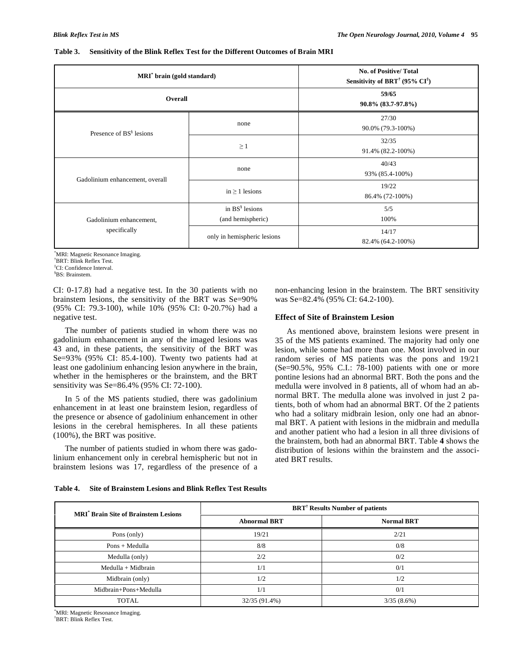| Table 3. |  | <b>Sensitivity of the Blink Reflex Test for the Different Outcomes of Brain MRI</b> |  |
|----------|--|-------------------------------------------------------------------------------------|--|
|          |  |                                                                                     |  |

| MRI <sup>*</sup> brain (gold standard) |                                           | <b>No. of Positive/Total</b><br>Sensitivity of BRT <sup>†</sup> (95% $CI^{\dagger}$ ) |  |  |
|----------------------------------------|-------------------------------------------|---------------------------------------------------------------------------------------|--|--|
| Overall                                |                                           | 59/65<br>90.8% (83.7-97.8%)                                                           |  |  |
| Presence of BS <sup>§</sup> lesions    | none                                      | 27/30<br>90.0% (79.3-100%)                                                            |  |  |
|                                        | $\geq 1$                                  | 32/35<br>91.4% (82.2-100%)                                                            |  |  |
|                                        | none                                      | 40/43<br>93% (85.4-100%)                                                              |  |  |
| Gadolinium enhancement, overall        | in $\geq 1$ lesions                       | 19/22<br>86.4% (72-100%)                                                              |  |  |
| Gadolinium enhancement,                | in $BS^{\S}$ lesions<br>(and hemispheric) | 5/5<br>100%                                                                           |  |  |
| specifically                           | only in hemispheric lesions               | 14/17<br>82.4% (64.2-100%)                                                            |  |  |

\* MRI: Magnetic Resonance Imaging.

† BRT: Blink Reflex Test.

‡ CI: Confidence Interval.

§ BS: Brainstem.

CI: 0-17.8) had a negative test. In the 30 patients with no brainstem lesions, the sensitivity of the BRT was Se=90% (95% CI: 79.3-100), while 10% (95% CI: 0-20.7%) had a negative test.

 The number of patients studied in whom there was no gadolinium enhancement in any of the imaged lesions was 43 and, in these patients, the sensitivity of the BRT was Se=93% (95% CI: 85.4-100). Twenty two patients had at least one gadolinium enhancing lesion anywhere in the brain, whether in the hemispheres or the brainstem, and the BRT sensitivity was Se=86.4% (95% CI: 72-100).

 In 5 of the MS patients studied, there was gadolinium enhancement in at least one brainstem lesion, regardless of the presence or absence of gadolinium enhancement in other lesions in the cerebral hemispheres. In all these patients (100%), the BRT was positive.

 The number of patients studied in whom there was gadolinium enhancement only in cerebral hemispheric but not in brainstem lesions was 17, regardless of the presence of a

| non-enhancing lesion in the brainstem. The BRT sensitivity |  |  |  |  |
|------------------------------------------------------------|--|--|--|--|
| was Se=82.4% (95% CI: 64.2-100).                           |  |  |  |  |

# **Effect of Site of Brainstem Lesion**

 As mentioned above, brainstem lesions were present in 35 of the MS patients examined. The majority had only one lesion, while some had more than one. Most involved in our random series of MS patients was the pons and 19/21 (Se=90.5%, 95% C.I.: 78-100) patients with one or more pontine lesions had an abnormal BRT. Both the pons and the medulla were involved in 8 patients, all of whom had an abnormal BRT. The medulla alone was involved in just 2 patients, both of whom had an abnormal BRT. Of the 2 patients who had a solitary midbrain lesion, only one had an abnormal BRT. A patient with lesions in the midbrain and medulla and another patient who had a lesion in all three divisions of the brainstem, both had an abnormal BRT. Table **4** shows the distribution of lesions within the brainstem and the associated BRT results.

| Table 4. | Site of Brainstem Lesions and Blink Reflex Test Results |  |
|----------|---------------------------------------------------------|--|
|          |                                                         |  |

| <b>MRI<sup>*</sup></b> Brain Site of Brainstem Lesions | <b>BRT<sup>†</sup></b> Results Number of patients |                   |  |  |  |
|--------------------------------------------------------|---------------------------------------------------|-------------------|--|--|--|
|                                                        | <b>Abnormal BRT</b>                               | <b>Normal BRT</b> |  |  |  |
| Pons (only)                                            | 19/21                                             | 2/21              |  |  |  |
| Pons + Medulla                                         | 8/8                                               | 0/8               |  |  |  |
| Medulla (only)                                         | 2/2                                               | 0/2               |  |  |  |
| $Medulla + Midbrain$                                   | 1/1                                               | 0/1               |  |  |  |
| Midbrain (only)                                        | 1/2                                               | 1/2               |  |  |  |
| Midbrain+Pons+Medulla                                  | 1/1                                               | 0/1               |  |  |  |
| <b>TOTAL</b>                                           | 32/35 (91.4%)                                     | 3/35(8.6%)        |  |  |  |

\* MRI: Magnetic Resonance Imaging. † BRT: Blink Reflex Test.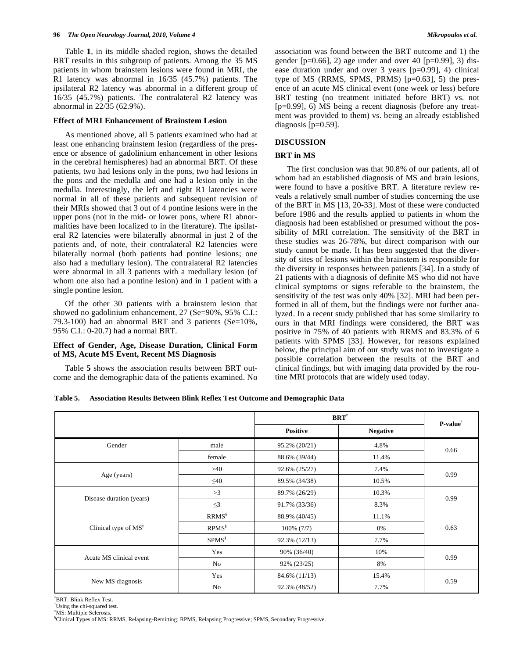#### **96** *The Open Neurology Journal, 2010, Volume 4 Mikropoulos et al.*

 Table **1**, in its middle shaded region, shows the detailed BRT results in this subgroup of patients. Among the 35 MS patients in whom brainstem lesions were found in MRI, the R1 latency was abnormal in 16/35 (45.7%) patients. The ipsilateral R2 latency was abnormal in a different group of 16/35 (45.7%) patients. The contralateral R2 latency was abnormal in 22/35 (62.9%).

### **Effect of MRI Enhancement of Brainstem Lesion**

 As mentioned above, all 5 patients examined who had at least one enhancing brainstem lesion (regardless of the presence or absence of gadolinium enhancement in other lesions in the cerebral hemispheres) had an abnormal BRT. Of these patients, two had lesions only in the pons, two had lesions in the pons and the medulla and one had a lesion only in the medulla. Interestingly, the left and right R1 latencies were normal in all of these patients and subsequent revision of their MRIs showed that 3 out of 4 pontine lesions were in the upper pons (not in the mid- or lower pons, where R1 abnormalities have been localized to in the literature). The ipsilateral R2 latencies were bilaterally abnormal in just 2 of the patients and, of note, their contralateral R2 latencies were bilaterally normal (both patients had pontine lesions; one also had a medullary lesion). The contralateral R2 latencies were abnormal in all 3 patients with a medullary lesion (of whom one also had a pontine lesion) and in 1 patient with a single pontine lesion.

 Of the other 30 patients with a brainstem lesion that showed no gadolinium enhancement, 27 (Se=90%, 95% C.I.: 79.3-100) had an abnormal BRT and 3 patients (Se= $10\%$ , 95% C.I.: 0-20.7) had a normal BRT.

### **Effect of Gender, Age, Disease Duration, Clinical Form of MS, Acute MS Event, Recent MS Diagnosis**

 Table **5** shows the association results between BRT outcome and the demographic data of the patients examined. No association was found between the BRT outcome and 1) the gender  $[p=0.66]$ , 2) age under and over 40  $[p=0.99]$ , 3) disease duration under and over 3 years [p=0.99], 4) clinical type of MS (RRMS, SPMS, PRMS) [p=0.63], 5) the presence of an acute MS clinical event (one week or less) before BRT testing (no treatment initiated before BRT) vs. not [p=0.99], 6) MS being a recent diagnosis (before any treatment was provided to them) vs. being an already established diagnosis [p=0.59].

#### **DISCUSSION**

# **BRT in MS**

 The first conclusion was that 90.8% of our patients, all of whom had an established diagnosis of MS and brain lesions, were found to have a positive BRT. A literature review reveals a relatively small number of studies concerning the use of the BRT in MS [13, 20-33]. Most of these were conducted before 1986 and the results applied to patients in whom the diagnosis had been established or presumed without the possibility of MRI correlation. The sensitivity of the BRT in these studies was 26-78%, but direct comparison with our study cannot be made. It has been suggested that the diversity of sites of lesions within the brainstem is responsible for the diversity in responses between patients [34]. In a study of 21 patients with a diagnosis of definite MS who did not have clinical symptoms or signs referable to the brainstem, the sensitivity of the test was only 40% [32]. MRI had been performed in all of them, but the findings were not further analyzed. In a recent study published that has some similarity to ours in that MRI findings were considered, the BRT was positive in 75% of 40 patients with RRMS and 83.3% of 6 patients with SPMS [33]. However, for reasons explained below, the principal aim of our study was not to investigate a possible correlation between the results of the BRT and clinical findings, but with imaging data provided by the routine MRI protocols that are widely used today.

| Table 5. | <b>Association Results Between Blink Reflex Test Outcome and Demographic Data</b> |  |  |  |  |
|----------|-----------------------------------------------------------------------------------|--|--|--|--|
|----------|-----------------------------------------------------------------------------------|--|--|--|--|

|                                  |                   |               | $\mathbf{BRT}^*$ |                     |  |
|----------------------------------|-------------------|---------------|------------------|---------------------|--|
|                                  |                   | Positive      | <b>Negative</b>  | $P-value^{\dagger}$ |  |
| Gender                           | male              | 95.2% (20/21) | 4.8%             | 0.66                |  |
|                                  | female            | 88.6% (39/44) | 11.4%            |                     |  |
|                                  | >40               | 92.6% (25/27) | 7.4%             |                     |  |
| Age (years)                      | $\leq 40$         | 89.5% (34/38) | 10.5%            | 0.99                |  |
|                                  | >3                | 89.7% (26/29) | 10.3%            |                     |  |
| Disease duration (years)         | $\leq$ 3          | 91.7% (33/36) | 8.3%             | 0.99                |  |
|                                  | RRMS <sup>§</sup> | 88.9% (40/45) | 11.1%            |                     |  |
| Clinical type of MS <sup>‡</sup> | $RPMS^{\S}$       | $100\%$ (7/7) | 0%               | 0.63                |  |
|                                  | $SPMS^{\S}$       | 92.3% (12/13) | 7.7%             |                     |  |
|                                  | Yes               | 90% (36/40)   | 10%              |                     |  |
| Acute MS clinical event          | No                | 92% (23/25)   | 8%               | 0.99                |  |
|                                  | Yes               | 84.6% (11/13) | 15.4%            |                     |  |
| New MS diagnosis                 | No                | 92.3% (48/52) | 7.7%             | 0.59                |  |

\* BRT: Blink Reflex Test.

† Using the chi-squared test.

‡ MS: Multiple Sclerosis.

§ Clinical Types of MS: RRMS, Relapsing-Remitting; RPMS, Relapsing Progressive; SPMS, Secondary Progressive.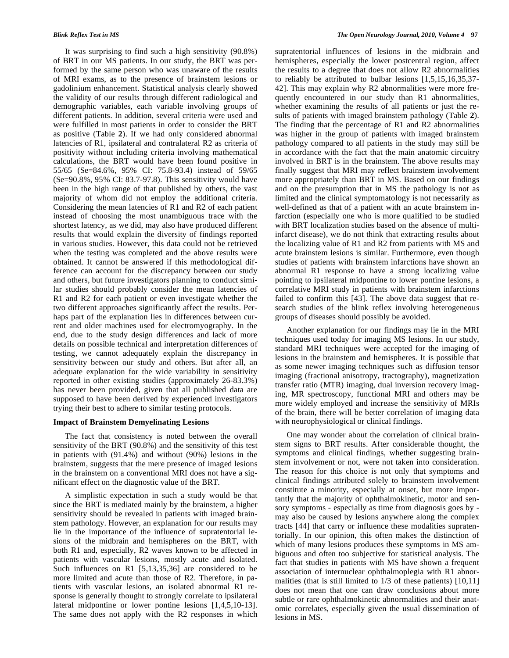It was surprising to find such a high sensitivity (90.8%) of BRT in our MS patients. In our study, the BRT was performed by the same person who was unaware of the results of MRI exams, as to the presence of brainstem lesions or gadolinium enhancement. Statistical analysis clearly showed the validity of our results through different radiological and demographic variables, each variable involving groups of different patients. In addition, several criteria were used and were fulfilled in most patients in order to consider the BRT as positive (Table **2**). If we had only considered abnormal latencies of R1, ipsilateral and contralateral R2 as criteria of positivity without including criteria involving mathematical calculations, the BRT would have been found positive in 55/65 (Se=84.6%, 95% CI: 75.8-93.4) instead of 59/65 (Se=90.8%, 95% CI: 83.7-97.8). This sensitivity would have been in the high range of that published by others, the vast majority of whom did not employ the additional criteria. Considering the mean latencies of R1 and R2 of each patient instead of choosing the most unambiguous trace with the shortest latency, as we did, may also have produced different results that would explain the diversity of findings reported in various studies. However, this data could not be retrieved when the testing was completed and the above results were obtained. It cannot be answered if this methodological difference can account for the discrepancy between our study and others, but future investigators planning to conduct similar studies should probably consider the mean latencies of R1 and R2 for each patient or even investigate whether the two different approaches significantly affect the results. Perhaps part of the explanation lies in differences between current and older machines used for electromyography. In the end, due to the study design differences and lack of more details on possible technical and interpretation differences of testing, we cannot adequately explain the discrepancy in sensitivity between our study and others. But after all, an adequate explanation for the wide variability in sensitivity reported in other existing studies (approximately 26-83.3%) has never been provided, given that all published data are supposed to have been derived by experienced investigators trying their best to adhere to similar testing protocols.

# **Impact of Brainstem Demyelinating Lesions**

 The fact that consistency is noted between the overall sensitivity of the BRT (90.8%) and the sensitivity of this test in patients with (91.4%) and without (90%) lesions in the brainstem, suggests that the mere presence of imaged lesions in the brainstem on a conventional MRI does not have a significant effect on the diagnostic value of the BRT.

 A simplistic expectation in such a study would be that since the BRT is mediated mainly by the brainstem, a higher sensitivity should be revealed in patients with imaged brainstem pathology. However, an explanation for our results may lie in the importance of the influence of supratentorial lesions of the midbrain and hemispheres on the BRT, with both R1 and, especially, R2 waves known to be affected in patients with vascular lesions, mostly acute and isolated. Such influences on R1 [5,13,35,36] are considered to be more limited and acute than those of R2. Therefore, in patients with vascular lesions, an isolated abnormal R1 response is generally thought to strongly correlate to ipsilateral lateral midpontine or lower pontine lesions [1,4,5,10-13]. The same does not apply with the R2 responses in which

supratentorial influences of lesions in the midbrain and hemispheres, especially the lower postcentral region, affect the results to a degree that does not allow R2 abnormalities to reliably be attributed to bulbar lesions [1,5,15,16,35,37- 42]. This may explain why R2 abnormalities were more frequently encountered in our study than R1 abnormalities, whether examining the results of all patients or just the results of patients with imaged brainstem pathology (Table **2**). The finding that the percentage of R1 and R2 abnormalities was higher in the group of patients with imaged brainstem pathology compared to all patients in the study may still be in accordance with the fact that the main anatomic circuitry involved in BRT is in the brainstem. The above results may finally suggest that MRI may reflect brainstem involvement more appropriately than BRT in MS. Based on our findings and on the presumption that in MS the pathology is not as limited and the clinical symptomatology is not necessarily as well-defined as that of a patient with an acute brainstem infarction (especially one who is more qualified to be studied with BRT localization studies based on the absence of multiinfarct disease), we do not think that extracting results about the localizing value of R1 and R2 from patients with MS and acute brainstem lesions is similar. Furthermore, even though studies of patients with brainstem infarctions have shown an abnormal R1 response to have a strong localizing value pointing to ipsilateral midpontine to lower pontine lesions, a correlative MRI study in patients with brainstem infarctions failed to confirm this [43]. The above data suggest that research studies of the blink reflex involving heterogeneous groups of diseases should possibly be avoided.

 Another explanation for our findings may lie in the MRI techniques used today for imaging MS lesions. In our study, standard MRI techniques were accepted for the imaging of lesions in the brainstem and hemispheres. It is possible that as some newer imaging techniques such as diffusion tensor imaging (fractional anisotropy, tractography), magnetization transfer ratio (MTR) imaging, dual inversion recovery imaging, MR spectroscopy, functional MRI and others may be more widely employed and increase the sensitivity of MRIs of the brain, there will be better correlation of imaging data with neurophysiological or clinical findings.

 One may wonder about the correlation of clinical brainstem signs to BRT results. After considerable thought, the symptoms and clinical findings, whether suggesting brainstem involvement or not, were not taken into consideration. The reason for this choice is not only that symptoms and clinical findings attributed solely to brainstem involvement constitute a minority, especially at onset, but more importantly that the majority of ophthalmokinetic, motor and sensory symptoms - especially as time from diagnosis goes by may also be caused by lesions anywhere along the complex tracts [44] that carry or influence these modalities supratentorially. In our opinion, this often makes the distinction of which of many lesions produces these symptoms in MS ambiguous and often too subjective for statistical analysis. The fact that studies in patients with MS have shown a frequent association of internuclear ophthalmoplegia with R1 abnormalities (that is still limited to 1/3 of these patients) [10,11] does not mean that one can draw conclusions about more subtle or rare ophthalmokinetic abnormalities and their anatomic correlates, especially given the usual dissemination of lesions in MS.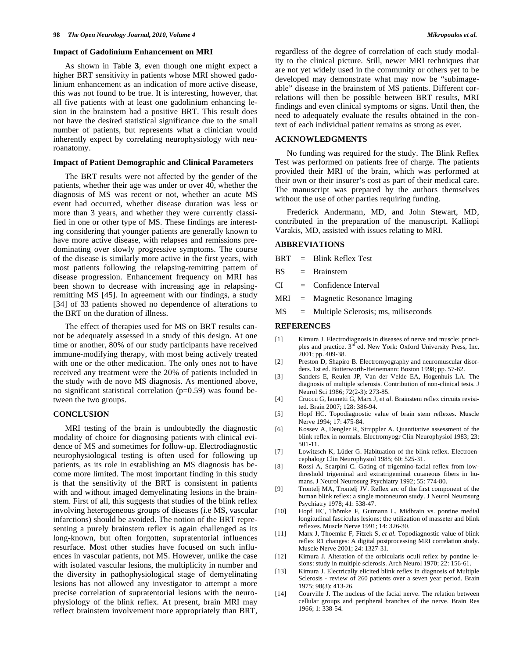#### **Impact of Gadolinium Enhancement on MRI**

 As shown in Table **3**, even though one might expect a higher BRT sensitivity in patients whose MRI showed gadolinium enhancement as an indication of more active disease, this was not found to be true. It is interesting, however, that all five patients with at least one gadolinium enhancing lesion in the brainstem had a positive BRT. This result does not have the desired statistical significance due to the small number of patients, but represents what a clinician would inherently expect by correlating neurophysiology with neuroanatomy.

# **Impact of Patient Demographic and Clinical Parameters**

 The BRT results were not affected by the gender of the patients, whether their age was under or over 40, whether the diagnosis of MS was recent or not, whether an acute MS event had occurred, whether disease duration was less or more than 3 years, and whether they were currently classified in one or other type of MS. These findings are interesting considering that younger patients are generally known to have more active disease, with relapses and remissions predominating over slowly progressive symptoms. The course of the disease is similarly more active in the first years, with most patients following the relapsing-remitting pattern of disease progression. Enhancement frequency on MRI has been shown to decrease with increasing age in relapsingremitting MS [45]. In agreement with our findings, a study [34] of 33 patients showed no dependence of alterations to the BRT on the duration of illness.

The effect of therapies used for MS on BRT results cannot be adequately assessed in a study of this design. At one time or another, 80% of our study participants have received immune-modifying therapy, with most being actively treated with one or the other medication. The only ones not to have received any treatment were the 20% of patients included in the study with de novo MS diagnosis. As mentioned above, no significant statistical correlation (p=0.59) was found between the two groups.

#### **CONCLUSION**

 MRI testing of the brain is undoubtedly the diagnostic modality of choice for diagnosing patients with clinical evidence of MS and sometimes for follow-up. Electrodiagnostic neurophysiological testing is often used for following up patients, as its role in establishing an MS diagnosis has become more limited. The most important finding in this study is that the sensitivity of the BRT is consistent in patients with and without imaged demyelinating lesions in the brainstem. First of all, this suggests that studies of the blink reflex involving heterogeneous groups of diseases (i.e MS, vascular infarctions) should be avoided. The notion of the BRT representing a purely brainstem reflex is again challenged as its long-known, but often forgotten, supratentorial influences resurface. Most other studies have focused on such influences in vascular patients, not MS. However, unlike the case with isolated vascular lesions, the multiplicity in number and the diversity in pathophysiological stage of demyelinating lesions has not allowed any investigator to attempt a more precise correlation of supratentorial lesions with the neurophysiology of the blink reflex. At present, brain MRI may reflect brainstem involvement more appropriately than BRT, regardless of the degree of correlation of each study modality to the clinical picture. Still, newer MRI techniques that are not yet widely used in the community or others yet to be developed may demonstrate what may now be "subimageable" disease in the brainstem of MS patients. Different correlations will then be possible between BRT results, MRI findings and even clinical symptoms or signs. Until then, the need to adequately evaluate the results obtained in the context of each individual patient remains as strong as ever.

#### **ACKNOWLEDGMENTS**

 No funding was required for the study. The Blink Reflex Test was performed on patients free of charge. The patients provided their MRI of the brain, which was performed at their own or their insurer's cost as part of their medical care. The manuscript was prepared by the authors themselves without the use of other parties requiring funding.

 Frederick Andermann, MD, and John Stewart, MD, contributed in the preparation of the manuscript. Kalliopi Varakis, MD, assisted with issues relating to MRI.

# **ABBREVIATIONS**

- BRT = Blink Reflex Test
- BS = Brainstem
- $CI = Confidence Interval$
- MRI = Magnetic Resonance Imaging
- MS = Multiple Sclerosis; ms, miliseconds

#### **REFERENCES**

- [1] Kimura J. Electrodiagnosis in diseases of nerve and muscle: principles and practice. 3<sup>rd</sup> ed. New York: Oxford University Press, Inc. 2001; pp. 409-38.
- [2] Preston D, Shapiro B. Electromyography and neuromuscular disorders. 1st ed. Butterworth-Heinemann: Boston 1998; pp. 57-62.
- [3] Sanders E, Reulen JP, Van der Velde EA, Hogenhuis LA. The diagnosis of multiple sclerosis. Contribution of non-clinical tests. J Neurol Sci 1986; 72(2-3): 273-85.
- [4] Cruccu G, Iannetti G, Marx J, *et al*. Brainstem reflex circuits revisited. Brain 2007; 128: 386-94.
- [5] Hopf HC. Topodiagnostic value of brain stem reflexes. Muscle Nerve 1994; 17: 475-84.
- [6] Kossev A, Dengler R, Struppler A. Quantitative assessment of the blink reflex in normals. Electromyogr Clin Neurophysiol 1983; 23: 501-11.
- [7] Lowitzsch K, Lüder G. Habituation of the blink reflex. Electroencephalogr Clin Neurophysiol 1985; 60: 525-31.
- [8] Rossi A, Scarpini C. Gating of trigemino-facial reflex from lowthreshold trigeminal and extratrigeminal cutaneous fibers in humans. J Neurol Neurosurg Psychiatry 1992; 55: 774-80.
- [9] Trontelj MA, Trontelj JV. Reflex arc of the first component of the human blink reflex: a single motoneuron study. J Neurol Neurosurg Psychiatry 1978; 41: 538-47.
- [10] Hopf HC, Thömke F, Gutmann L. Midbrain vs. pontine medial longitudinal fasciculus lesions: the utilization of masseter and blink reflexes. Muscle Nerve 1991; 14: 326-30.
- [11] Marx J, Thoemke F, Fitzek S, *et al*. Topodiagnostic value of blink reflex R1 changes: A digital postprocessing MRI correlation study. Muscle Nerve 2001; 24: 1327-31.
- [12] Kimura J. Alteration of the orbicularis oculi reflex by pontine lesions: study in multiple sclerosis. Arch Neurol 1970; 22: 156-61.
- [13] Kimura J. Electrically elicited blink reflex in diagnosis of Multiple Sclerosis - review of 260 patients over a seven year period. Brain 1975; 98(3): 413-26.
- [14] Courville J. The nucleus of the facial nerve. The relation between cellular groups and peripheral branches of the nerve. Brain Res 1966; 1: 338-54.